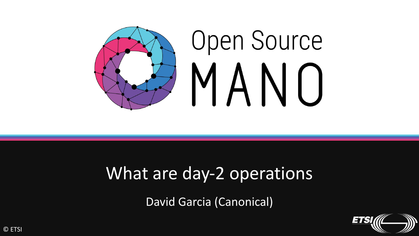

## What are day-2 operations

David Garcia (Canonical)

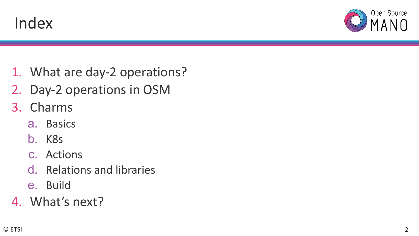



- 1. What are day-2 operations?
- 2. Day-2 operations in OSM
- 3. Charms
	- a. Basics
	- b. K8s
	- c. Actions
	- d. Relations and libraries
	- e. Build
- 4. What's next?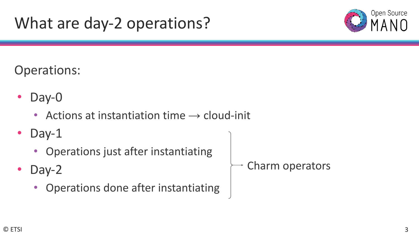## What are day-2 operations?



### Operations:

- Day-0
	- Actions at instantiation time  $\rightarrow$  cloud-init
- Day-1
	- Operations just after instantiating
- Day-2
	- Operations done after instantiating
- Charm operators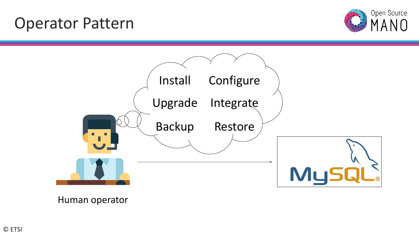## Operator Pattern





Human operator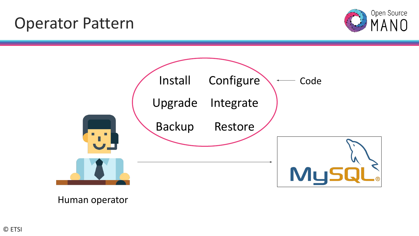## Operator Pattern





Human operator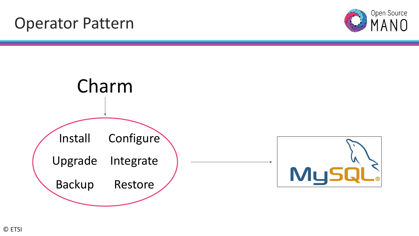## Operator Pattern



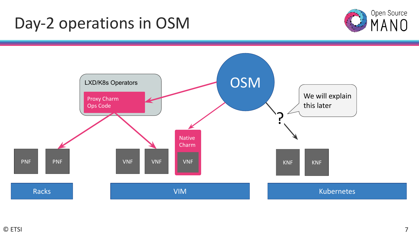## Day-2 operations in OSM



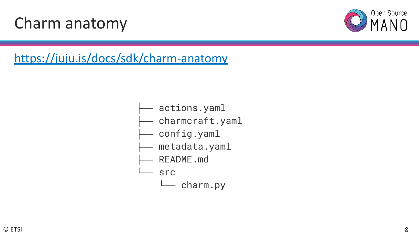## Charm anatomy



### <https://juju.is/docs/sdk/charm-anatomy>

- actions.yaml
- ├── charmcraft.yaml
- config.yaml
- metadata.yaml
- README.md
	- **Src** 
		- L<sub>charm.py</sub>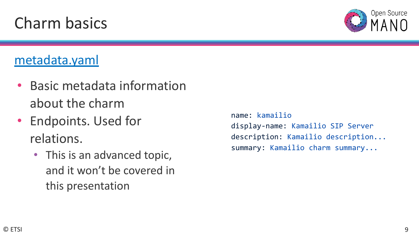### [metadata.yaml](https://discourse.charmhub.io/t/charm-metadata-reference)

- Basic metadata information about the charm
- Endpoints. Used for relations.
	- This is an advanced topic, and it won't be covered in this presentation

```
name: kamailio
display-name: Kamailio SIP Server
description: Kamailio description...
summary: Kamailio charm summary...
```
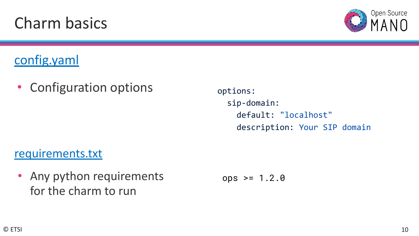[config.yaml](https://juju.is/docs/sdk/config)

• Configuration options

options: sip-domain: default: "localhost" description: Your SIP domain

[requirements.txt](https://juju.is/docs/sdk/charm-anatomy#heading--requirements-txt)

• Any python requirements for the charm to run

 $ops$  >= 1.2.0

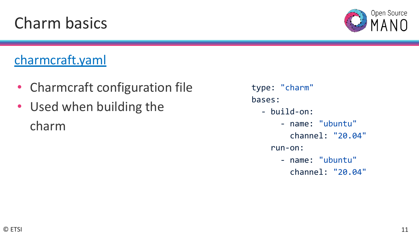## [charmcraft.yaml](https://juju.is/docs/sdk/charm-anatomy#heading--charmcraft-yaml)

- Charmcraft configuration file
- Used when building the charm
- type: "charm" bases:
	- build-on:
		- name: "ubuntu"
			- channel: "20.04"
		- run-on:
			- name: "ubuntu" channel: "20.04"



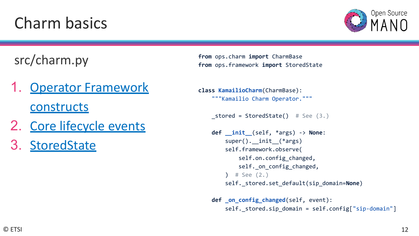

### src/charm.py

- **[Operator Framework](https://juju.is/docs/sdk/constructs) [constructs](https://juju.is/docs/sdk/constructs)**
- 2. [Core lifecycle events](https://juju.is/docs/sdk/events)
- 3. [StoredState](https://juju.is/docs/sdk/constructs#heading--stored-state)

**from** ops.charm **import** CharmBase **from** ops.framework **import** StoredState

```
class KamailioCharm(CharmBase):
     """Kamailio Charm Operator."""
```

```
stored = StoredState() # See (3.)
```

```
 def __init__(self, *args) -> None:
     super().__init__(*args)
     self.framework.observe(
        self.on.config changed,
        self. on config changed,
    ) # See (2.)self. stored.set default(sip domain=None)
```

```
 def _on_config_changed(self, event):
     self._stored.sip_domain = self.config["sip-domain"]
```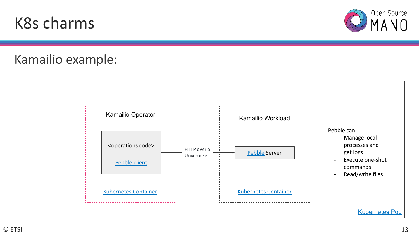### © ETSI



# K8s charms Kamailio example:



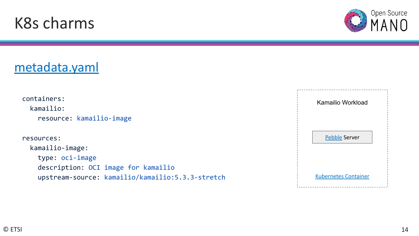## K8s charms

[metadata.yaml](https://juju.is/docs/sdk/workloads#heading--kubernetes-charms)

### Kamailio Workload [Kubernetes Container](https://kubernetes.io/docs/concepts/containers/) [Pebble](https://github.com/canonical/pebble) Server containers: kamailio: resource: kamailio-image resources: kamailio-image: type: oci-image description: OCI image for kamailio upstream-source: kamailio/kamailio:5.3.3-stretch

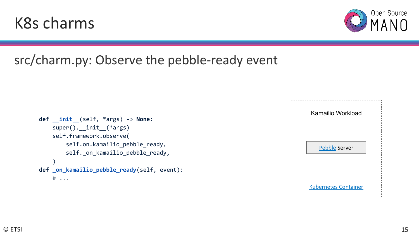### **def \_\_init\_\_**(self, \*args) -> **None**: super(). \_\_init\_(\*args) self.framework.observe( self.on.kamailio\_pebble\_ready, self.\_on\_kamailio\_pebble\_ready,  $\overline{\phantom{a}}$ **def \_on\_kamailio\_pebble\_ready**(self, event):

K8s charms

## src/charm.py: Observe the pebble-ready event

```
 # ...
```


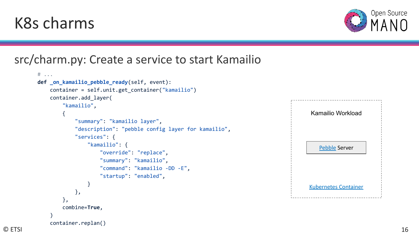## K8s charms

container.replan()

### src/charm.py: Create a service to start Kamailio

```
 # ...
    def _on_kamailio_pebble_ready(self, event):
       container = self.unit.get container("kamailio")
        container.add_layer(
            "kamailio",
\{ "summary": "kamailio layer",
                 "description": "pebble config layer for kamailio",
                "services": {
                    "kamailio": {
                        "override": "replace",
                       "summary": "kamailio",
                       "command": "kamailio -DD -E",
                       "startup": "enabled",
 }
                },
            },
            combine=True,
\overline{\phantom{a}}
```




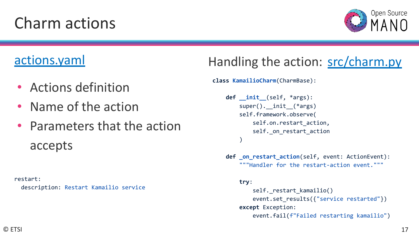# Charm actions



### [actions.yaml](https://juju.is/docs/sdk/actions)

- Actions definition
- Name of the action
- Parameters that the action accepts

restart: description: Restart Kamailio service

## Handling the action: [src/charm.py](https://juju.is/docs/sdk/actions#heading--action-handling)

**class KamailioCharm**(CharmBase):

```
 def __init__(self, *args):
        super(). init (*args)
         self.framework.observe(
             self.on.restart action,
             self. on restart action
\overline{\phantom{a}}
```
 **def \_on\_restart\_action**(self, event: ActionEvent): """Handler for the restart-action event."""

#### **try**:

```
self. restart kamailio()
    event.set results({"service restarted"})
 except Exception:
     event.fail(f"Failed restarting kamailio")
```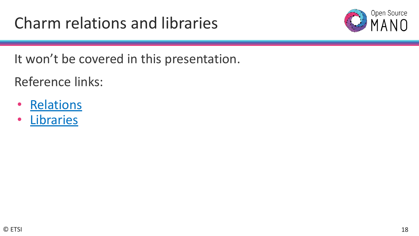

It won't be covered in this presentation.

Reference links:

- [Relations](https://juju.is/docs/sdk/relations)
- [Libraries](https://juju.is/docs/sdk/libraries)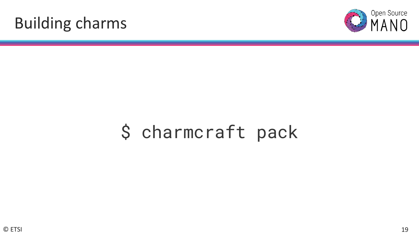## Building charms



# \$ charmcraft pack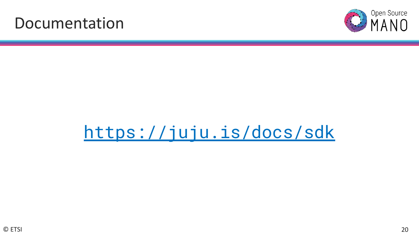## Documentation



# <https://juju.is/docs/sdk>